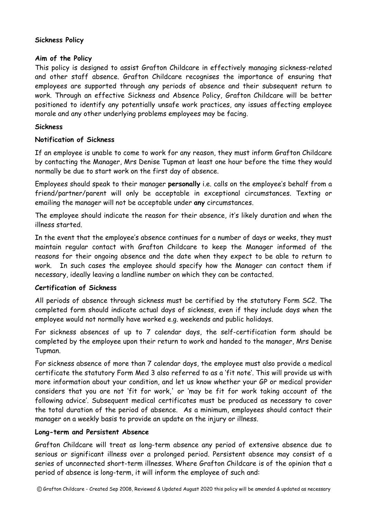# **Sickness Policy**

# **Aim of the Policy**

This policy is designed to assist Grafton Childcare in effectively managing sickness-related and other staff absence. Grafton Childcare recognises the importance of ensuring that employees are supported through any periods of absence and their subsequent return to work. Through an effective Sickness and Absence Policy, Grafton Childcare will be better positioned to identify any potentially unsafe work practices, any issues affecting employee morale and any other underlying problems employees may be facing.

# **Sickness**

#### **Notification of Sickness**

If an employee is unable to come to work for any reason, they must inform Grafton Childcare by contacting the Manager, Mrs Denise Tupman at least one hour before the time they would normally be due to start work on the first day of absence.

Employees should speak to their manager **personally** i.e. calls on the employee's behalf from a friend/partner/parent will only be acceptable in exceptional circumstances. Texting or emailing the manager will not be acceptable under **any** circumstances.

The employee should indicate the reason for their absence, it's likely duration and when the illness started.

In the event that the employee's absence continues for a number of days or weeks, they must maintain regular contact with Grafton Childcare to keep the Manager informed of the reasons for their ongoing absence and the date when they expect to be able to return to work. In such cases the employee should specify how the Manager can contact them if necessary, ideally leaving a landline number on which they can be contacted.

# **Certification of Sickness**

All periods of absence through sickness must be certified by the statutory Form SC2. The completed form should indicate actual days of sickness, even if they include days when the employee would not normally have worked e.g. weekends and public holidays.

For sickness absences of up to 7 calendar days, the self-certification form should be completed by the employee upon their return to work and handed to the manager, Mrs Denise Tupman.

For sickness absence of more than 7 calendar days, the employee must also provide a medical certificate the statutory Form Med 3 also referred to as a 'fit note'. This will provide us with more information about your condition, and let us know whether your GP or medical provider considers that you are not 'fit for work,' or 'may be fit for work taking account of the following advice'. Subsequent medical certificates must be produced as necessary to cover the total duration of the period of absence. As a minimum, employees should contact their manager on a weekly basis to provide an update on the injury or illness.

# **Long-term and Persistent Absence**

Grafton Childcare will treat as long-term absence any period of extensive absence due to serious or significant illness over a prolonged period. Persistent absence may consist of a series of unconnected short-term illnesses. Where Grafton Childcare is of the opinion that a period of absence is long-term, it will inform the employee of such and: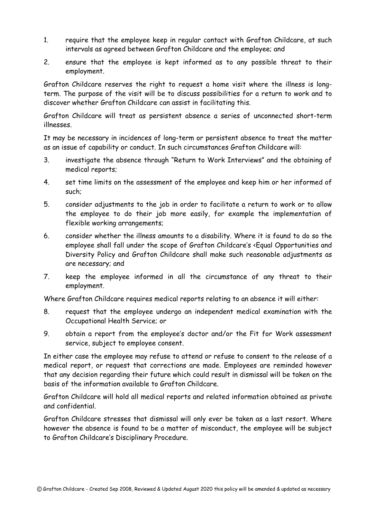- 1. require that the employee keep in regular contact with Grafton Childcare, at such intervals as agreed between Grafton Childcare and the employee; and
- 2. ensure that the employee is kept informed as to any possible threat to their employment.

Grafton Childcare reserves the right to request a home visit where the illness is longterm. The purpose of the visit will be to discuss possibilities for a return to work and to discover whether Grafton Childcare can assist in facilitating this.

Grafton Childcare will treat as persistent absence a series of unconnected short-term illnesses.

It may be necessary in incidences of long-term or persistent absence to treat the matter as an issue of capability or conduct. In such circumstances Grafton Childcare will:

- 3. investigate the absence through "Return to Work Interviews" and the obtaining of medical reports;
- 4. set time limits on the assessment of the employee and keep him or her informed of such;
- 5. consider adjustments to the job in order to facilitate a return to work or to allow the employee to do their job more easily, for example the implementation of flexible working arrangements;
- 6. consider whether the illness amounts to a disability. Where it is found to do so the employee shall fall under the scope of Grafton Childcare's <Equal Opportunities and Diversity Policy and Grafton Childcare shall make such reasonable adjustments as are necessary; and
- 7. keep the employee informed in all the circumstance of any threat to their employment.

Where Grafton Childcare requires medical reports relating to an absence it will either:

- 8. request that the employee undergo an independent medical examination with the Occupational Health Service; or
- 9. obtain a report from the employee's doctor and/or the Fit for Work assessment service, subject to employee consent.

In either case the employee may refuse to attend or refuse to consent to the release of a medical report, or request that corrections are made. Employees are reminded however that any decision regarding their future which could result in dismissal will be taken on the basis of the information available to Grafton Childcare.

Grafton Childcare will hold all medical reports and related information obtained as private and confidential.

Grafton Childcare stresses that dismissal will only ever be taken as a last resort. Where however the absence is found to be a matter of misconduct, the employee will be subject to Grafton Childcare's Disciplinary Procedure.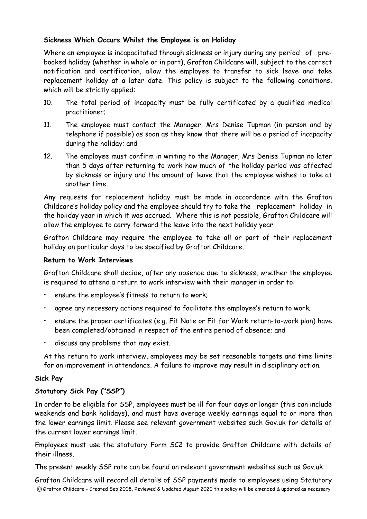# **Sickness Which Occurs Whilst the Employee is on Holiday**

Where an employee is incapacitated through sickness or injury during any period of prebooked holiday (whether in whole or in part), Grafton Childcare will, subject to the correct notification and certification, allow the employee to transfer to sick leave and take replacement holiday at a later date. This policy is subject to the following conditions, which will be strictly applied:

- 10. The total period of incapacity must be fully certificated by a qualified medical practitioner;
- 11. The employee must contact the Manager, Mrs Denise Tupman (in person and by telephone if possible) as soon as they know that there will be a period of incapacity during the holiday; and
- 12. The employee must confirm in writing to the Manager, Mrs Denise Tupman no later than 5 days after returning to work how much of the holiday period was affected by sickness or injury and the amount of leave that the employee wishes to take at another time.

Any requests for replacement holiday must be made in accordance with the Grafton Childcare's holiday policy and the employee should try to take the replacement holiday in the holiday year in which it was accrued. Where this is not possible, Grafton Childcare will allow the employee to carry forward the leave into the next holiday year.

Grafton Childcare may require the employee to take all or part of their replacement holiday on particular days to be specified by Grafton Childcare.

#### **Return to Work Interviews**

Grafton Childcare shall decide, after any absence due to sickness, whether the employee is required to attend a return to work interview with their manager in order to:

- ensure the employee's fitness to return to work;
- agree any necessary actions required to facilitate the employee's return to work;
- ensure the proper certificates (e.g. Fit Note or Fit for Work return-to-work plan) have been completed/obtained in respect of the entire period of absence; and
- discuss any problems that may exist.

At the return to work interview, employees may be set reasonable targets and time limits for an improvement in attendance. A failure to improve may result in disciplinary action.

# **Sick Pay**

# **Statutory Sick Pay ("SSP")**

In order to be eligible for SSP, employees must be ill for four days or longer (this can include weekends and bank holidays), and must have average weekly earnings equal to or more than the lower earnings limit. Please see relevant government websites such Gov.uk for details of the current lower earnings limit.

Employees must use the statutory Form SC2 to provide Grafton Childcare with details of their illness.

The present weekly SSP rate can be found on relevant government websites such as Gov.uk

Grafton Childcare will record all details of SSP payments made to employees using Statutory © Grafton Childcare - Created Sep 2008, Reviewed & Updated August 2020 this policy will be amended & updated as necessary